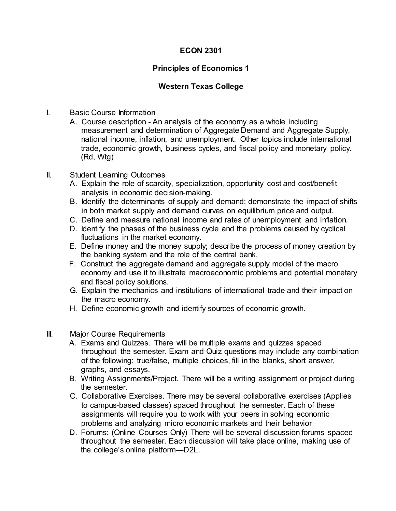## **ECON 2301**

## **Principles of Economics 1**

## **Western Texas College**

- I. Basic Course Information
	- A. Course description An analysis of the economy as a whole including measurement and determination of Aggregate Demand and Aggregate Supply, national income, inflation, and unemployment. Other topics include international trade, economic growth, business cycles, and fiscal policy and monetary policy. (Rd, Wtg)
- II. Student Learning Outcomes
	- A. Explain the role of scarcity, specialization, opportunity cost and cost/benefit analysis in economic decision-making.
	- B. Identify the determinants of supply and demand; demonstrate the impact of shifts in both market supply and demand curves on equilibrium price and output.
	- C. Define and measure national income and rates of unemployment and inflation.
	- D. Identify the phases of the business cycle and the problems caused by cyclical fluctuations in the market economy.
	- E. Define money and the money supply; describe the process of money creation by the banking system and the role of the central bank.
	- F. Construct the aggregate demand and aggregate supply model of the macro economy and use it to illustrate macroeconomic problems and potential monetary and fiscal policy solutions.
	- G. Explain the mechanics and institutions of international trade and their impact on the macro economy.
	- H. Define economic growth and identify sources of economic growth.
- III. Major Course Requirements
	- A. Exams and Quizzes. There will be multiple exams and quizzes spaced throughout the semester. Exam and Quiz questions may include any combination of the following: true/false, multiple choices, fill in the blanks, short answer, graphs, and essays.
	- B. Writing Assignments/Project. There will be a writing assignment or project during the semester.
	- C. Collaborative Exercises. There may be several collaborative exercises (Applies to campus-based classes) spaced throughout the semester. Each of these assignments will require you to work with your peers in solving economic problems and analyzing micro economic markets and their behavior
	- D. Forums: (Online Courses Only) There will be several discussion forums spaced throughout the semester. Each discussion will take place online, making use of the college's online platform—D2L.